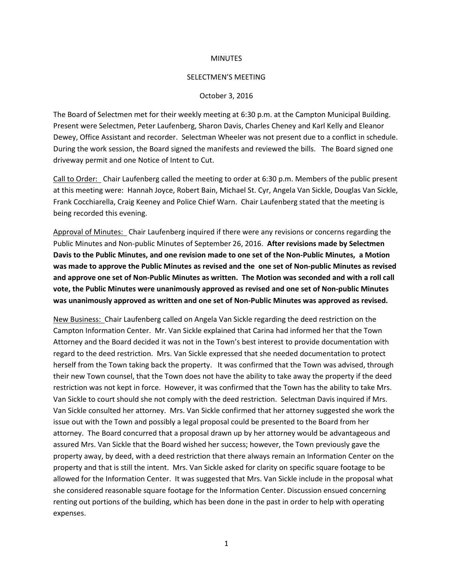## **MINUTES**

## SELECTMEN'S MEETING

## October 3, 2016

The Board of Selectmen met for their weekly meeting at 6:30 p.m. at the Campton Municipal Building. Present were Selectmen, Peter Laufenberg, Sharon Davis, Charles Cheney and Karl Kelly and Eleanor Dewey, Office Assistant and recorder. Selectman Wheeler was not present due to a conflict in schedule. During the work session, the Board signed the manifests and reviewed the bills. The Board signed one driveway permit and one Notice of Intent to Cut.

Call to Order: Chair Laufenberg called the meeting to order at 6:30 p.m. Members of the public present at this meeting were: Hannah Joyce, Robert Bain, Michael St. Cyr, Angela Van Sickle, Douglas Van Sickle, Frank Cocchiarella, Craig Keeney and Police Chief Warn. Chair Laufenberg stated that the meeting is being recorded this evening.

Approval of Minutes: Chair Laufenberg inquired if there were any revisions or concerns regarding the Public Minutes and Non-public Minutes of September 26, 2016. **After revisions made by Selectmen Davis to the Public Minutes, and one revision made to one set of the Non-Public Minutes, a Motion was made to approve the Public Minutes as revised and the one set of Non-public Minutes as revised and approve one set of Non-Public Minutes as written. The Motion was seconded and with a roll call vote, the Public Minutes were unanimously approved as revised and one set of Non-public Minutes was unanimously approved as written and one set of Non-Public Minutes was approved as revised.** 

New Business: Chair Laufenberg called on Angela Van Sickle regarding the deed restriction on the Campton Information Center. Mr. Van Sickle explained that Carina had informed her that the Town Attorney and the Board decided it was not in the Town's best interest to provide documentation with regard to the deed restriction. Mrs. Van Sickle expressed that she needed documentation to protect herself from the Town taking back the property. It was confirmed that the Town was advised, through their new Town counsel, that the Town does not have the ability to take away the property if the deed restriction was not kept in force. However, it was confirmed that the Town has the ability to take Mrs. Van Sickle to court should she not comply with the deed restriction. Selectman Davis inquired if Mrs. Van Sickle consulted her attorney. Mrs. Van Sickle confirmed that her attorney suggested she work the issue out with the Town and possibly a legal proposal could be presented to the Board from her attorney. The Board concurred that a proposal drawn up by her attorney would be advantageous and assured Mrs. Van Sickle that the Board wished her success; however, the Town previously gave the property away, by deed, with a deed restriction that there always remain an Information Center on the property and that is still the intent. Mrs. Van Sickle asked for clarity on specific square footage to be allowed for the Information Center. It was suggested that Mrs. Van Sickle include in the proposal what she considered reasonable square footage for the Information Center. Discussion ensued concerning renting out portions of the building, which has been done in the past in order to help with operating expenses.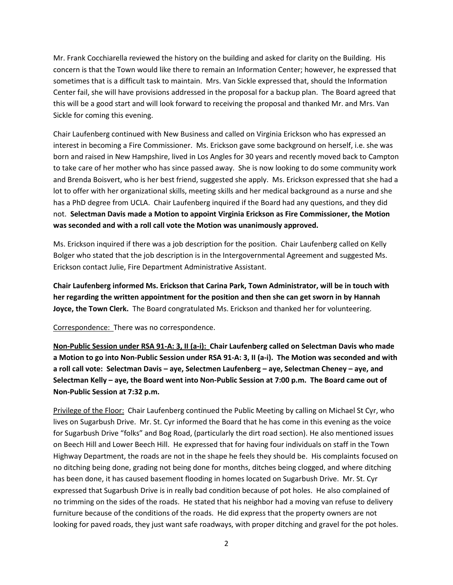Mr. Frank Cocchiarella reviewed the history on the building and asked for clarity on the Building. His concern is that the Town would like there to remain an Information Center; however, he expressed that sometimes that is a difficult task to maintain. Mrs. Van Sickle expressed that, should the Information Center fail, she will have provisions addressed in the proposal for a backup plan. The Board agreed that this will be a good start and will look forward to receiving the proposal and thanked Mr. and Mrs. Van Sickle for coming this evening.

Chair Laufenberg continued with New Business and called on Virginia Erickson who has expressed an interest in becoming a Fire Commissioner. Ms. Erickson gave some background on herself, i.e. she was born and raised in New Hampshire, lived in Los Angles for 30 years and recently moved back to Campton to take care of her mother who has since passed away. She is now looking to do some community work and Brenda Boisvert, who is her best friend, suggested she apply. Ms. Erickson expressed that she had a lot to offer with her organizational skills, meeting skills and her medical background as a nurse and she has a PhD degree from UCLA. Chair Laufenberg inquired if the Board had any questions, and they did not. **Selectman Davis made a Motion to appoint Virginia Erickson as Fire Commissioner, the Motion was seconded and with a roll call vote the Motion was unanimously approved.** 

Ms. Erickson inquired if there was a job description for the position. Chair Laufenberg called on Kelly Bolger who stated that the job description is in the Intergovernmental Agreement and suggested Ms. Erickson contact Julie, Fire Department Administrative Assistant.

**Chair Laufenberg informed Ms. Erickson that Carina Park, Town Administrator, will be in touch with her regarding the written appointment for the position and then she can get sworn in by Hannah Joyce, the Town Clerk.** The Board congratulated Ms. Erickson and thanked her for volunteering.

Correspondence: There was no correspondence.

**Non-Public Session under RSA 91-A: 3, II (a-i): Chair Laufenberg called on Selectman Davis who made a Motion to go into Non-Public Session under RSA 91-A: 3, II (a-i). The Motion was seconded and with a roll call vote: Selectman Davis – aye, Selectmen Laufenberg – aye, Selectman Cheney – aye, and Selectman Kelly – aye, the Board went into Non-Public Session at 7:00 p.m. The Board came out of Non-Public Session at 7:32 p.m.**

Privilege of the Floor: Chair Laufenberg continued the Public Meeting by calling on Michael St Cyr, who lives on Sugarbush Drive. Mr. St. Cyr informed the Board that he has come in this evening as the voice for Sugarbush Drive "folks" and Bog Road, (particularly the dirt road section). He also mentioned issues on Beech Hill and Lower Beech Hill. He expressed that for having four individuals on staff in the Town Highway Department, the roads are not in the shape he feels they should be. His complaints focused on no ditching being done, grading not being done for months, ditches being clogged, and where ditching has been done, it has caused basement flooding in homes located on Sugarbush Drive. Mr. St. Cyr expressed that Sugarbush Drive is in really bad condition because of pot holes. He also complained of no trimming on the sides of the roads. He stated that his neighbor had a moving van refuse to delivery furniture because of the conditions of the roads. He did express that the property owners are not looking for paved roads, they just want safe roadways, with proper ditching and gravel for the pot holes.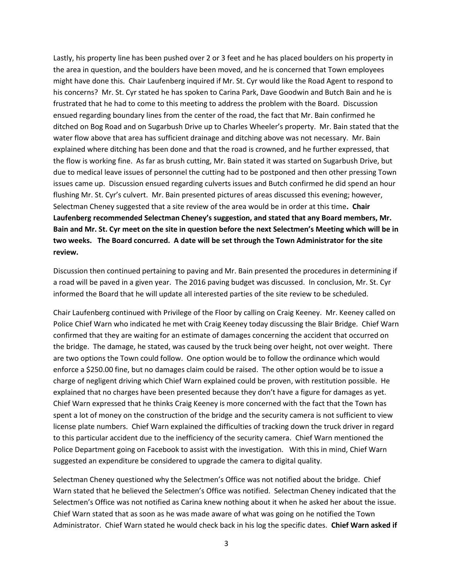Lastly, his property line has been pushed over 2 or 3 feet and he has placed boulders on his property in the area in question, and the boulders have been moved, and he is concerned that Town employees might have done this. Chair Laufenberg inquired if Mr. St. Cyr would like the Road Agent to respond to his concerns? Mr. St. Cyr stated he has spoken to Carina Park, Dave Goodwin and Butch Bain and he is frustrated that he had to come to this meeting to address the problem with the Board. Discussion ensued regarding boundary lines from the center of the road, the fact that Mr. Bain confirmed he ditched on Bog Road and on Sugarbush Drive up to Charles Wheeler's property. Mr. Bain stated that the water flow above that area has sufficient drainage and ditching above was not necessary. Mr. Bain explained where ditching has been done and that the road is crowned, and he further expressed, that the flow is working fine. As far as brush cutting, Mr. Bain stated it was started on Sugarbush Drive, but due to medical leave issues of personnel the cutting had to be postponed and then other pressing Town issues came up. Discussion ensued regarding culverts issues and Butch confirmed he did spend an hour flushing Mr. St. Cyr's culvert. Mr. Bain presented pictures of areas discussed this evening; however, Selectman Cheney suggested that a site review of the area would be in order at this time**. Chair Laufenberg recommended Selectman Cheney's suggestion, and stated that any Board members, Mr. Bain and Mr. St. Cyr meet on the site in question before the next Selectmen's Meeting which will be in two weeks. The Board concurred. A date will be set through the Town Administrator for the site review.** 

Discussion then continued pertaining to paving and Mr. Bain presented the procedures in determining if a road will be paved in a given year. The 2016 paving budget was discussed. In conclusion, Mr. St. Cyr informed the Board that he will update all interested parties of the site review to be scheduled.

Chair Laufenberg continued with Privilege of the Floor by calling on Craig Keeney. Mr. Keeney called on Police Chief Warn who indicated he met with Craig Keeney today discussing the Blair Bridge. Chief Warn confirmed that they are waiting for an estimate of damages concerning the accident that occurred on the bridge. The damage, he stated, was caused by the truck being over height, not over weight. There are two options the Town could follow. One option would be to follow the ordinance which would enforce a \$250.00 fine, but no damages claim could be raised. The other option would be to issue a charge of negligent driving which Chief Warn explained could be proven, with restitution possible. He explained that no charges have been presented because they don't have a figure for damages as yet. Chief Warn expressed that he thinks Craig Keeney is more concerned with the fact that the Town has spent a lot of money on the construction of the bridge and the security camera is not sufficient to view license plate numbers. Chief Warn explained the difficulties of tracking down the truck driver in regard to this particular accident due to the inefficiency of the security camera. Chief Warn mentioned the Police Department going on Facebook to assist with the investigation. With this in mind, Chief Warn suggested an expenditure be considered to upgrade the camera to digital quality.

Selectman Cheney questioned why the Selectmen's Office was not notified about the bridge. Chief Warn stated that he believed the Selectmen's Office was notified. Selectman Cheney indicated that the Selectmen's Office was not notified as Carina knew nothing about it when he asked her about the issue. Chief Warn stated that as soon as he was made aware of what was going on he notified the Town Administrator. Chief Warn stated he would check back in his log the specific dates. **Chief Warn asked if**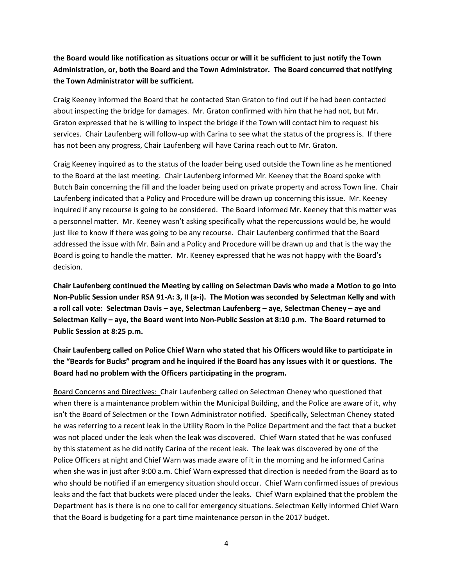## **the Board would like notification as situations occur or will it be sufficient to just notify the Town Administration, or, both the Board and the Town Administrator. The Board concurred that notifying the Town Administrator will be sufficient.**

Craig Keeney informed the Board that he contacted Stan Graton to find out if he had been contacted about inspecting the bridge for damages. Mr. Graton confirmed with him that he had not, but Mr. Graton expressed that he is willing to inspect the bridge if the Town will contact him to request his services. Chair Laufenberg will follow-up with Carina to see what the status of the progress is. If there has not been any progress, Chair Laufenberg will have Carina reach out to Mr. Graton.

Craig Keeney inquired as to the status of the loader being used outside the Town line as he mentioned to the Board at the last meeting. Chair Laufenberg informed Mr. Keeney that the Board spoke with Butch Bain concerning the fill and the loader being used on private property and across Town line. Chair Laufenberg indicated that a Policy and Procedure will be drawn up concerning this issue. Mr. Keeney inquired if any recourse is going to be considered. The Board informed Mr. Keeney that this matter was a personnel matter. Mr. Keeney wasn't asking specifically what the repercussions would be, he would just like to know if there was going to be any recourse. Chair Laufenberg confirmed that the Board addressed the issue with Mr. Bain and a Policy and Procedure will be drawn up and that is the way the Board is going to handle the matter. Mr. Keeney expressed that he was not happy with the Board's decision.

**Chair Laufenberg continued the Meeting by calling on Selectman Davis who made a Motion to go into Non-Public Session under RSA 91-A: 3, II (a-i). The Motion was seconded by Selectman Kelly and with a roll call vote: Selectman Davis – aye, Selectman Laufenberg – aye, Selectman Cheney – aye and Selectman Kelly – aye, the Board went into Non-Public Session at 8:10 p.m. The Board returned to Public Session at 8:25 p.m.**

**Chair Laufenberg called on Police Chief Warn who stated that his Officers would like to participate in the "Beards for Bucks" program and he inquired if the Board has any issues with it or questions. The Board had no problem with the Officers participating in the program.** 

Board Concerns and Directives: Chair Laufenberg called on Selectman Cheney who questioned that when there is a maintenance problem within the Municipal Building, and the Police are aware of it, why isn't the Board of Selectmen or the Town Administrator notified. Specifically, Selectman Cheney stated he was referring to a recent leak in the Utility Room in the Police Department and the fact that a bucket was not placed under the leak when the leak was discovered. Chief Warn stated that he was confused by this statement as he did notify Carina of the recent leak. The leak was discovered by one of the Police Officers at night and Chief Warn was made aware of it in the morning and he informed Carina when she was in just after 9:00 a.m. Chief Warn expressed that direction is needed from the Board as to who should be notified if an emergency situation should occur. Chief Warn confirmed issues of previous leaks and the fact that buckets were placed under the leaks. Chief Warn explained that the problem the Department has is there is no one to call for emergency situations. Selectman Kelly informed Chief Warn that the Board is budgeting for a part time maintenance person in the 2017 budget.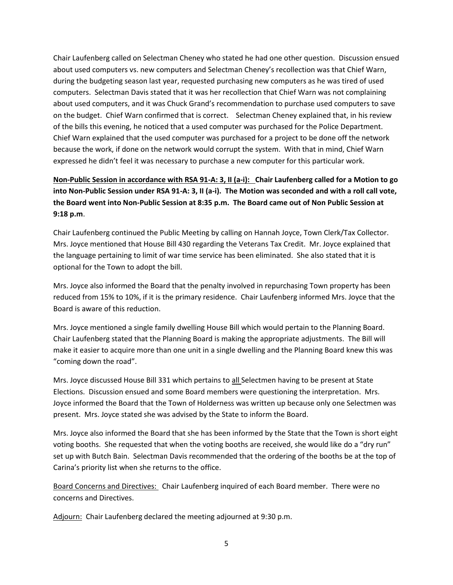Chair Laufenberg called on Selectman Cheney who stated he had one other question. Discussion ensued about used computers vs. new computers and Selectman Cheney's recollection was that Chief Warn, during the budgeting season last year, requested purchasing new computers as he was tired of used computers. Selectman Davis stated that it was her recollection that Chief Warn was not complaining about used computers, and it was Chuck Grand's recommendation to purchase used computers to save on the budget. Chief Warn confirmed that is correct. Selectman Cheney explained that, in his review of the bills this evening, he noticed that a used computer was purchased for the Police Department. Chief Warn explained that the used computer was purchased for a project to be done off the network because the work, if done on the network would corrupt the system. With that in mind, Chief Warn expressed he didn't feel it was necessary to purchase a new computer for this particular work.

**Non-Public Session in accordance with RSA 91-A: 3, II (a-i): Chair Laufenberg called for a Motion to go into Non-Public Session under RSA 91-A: 3, II (a-i). The Motion was seconded and with a roll call vote, the Board went into Non-Public Session at 8:35 p.m. The Board came out of Non Public Session at 9:18 p.m**.

Chair Laufenberg continued the Public Meeting by calling on Hannah Joyce, Town Clerk/Tax Collector. Mrs. Joyce mentioned that House Bill 430 regarding the Veterans Tax Credit. Mr. Joyce explained that the language pertaining to limit of war time service has been eliminated. She also stated that it is optional for the Town to adopt the bill.

Mrs. Joyce also informed the Board that the penalty involved in repurchasing Town property has been reduced from 15% to 10%, if it is the primary residence. Chair Laufenberg informed Mrs. Joyce that the Board is aware of this reduction.

Mrs. Joyce mentioned a single family dwelling House Bill which would pertain to the Planning Board. Chair Laufenberg stated that the Planning Board is making the appropriate adjustments. The Bill will make it easier to acquire more than one unit in a single dwelling and the Planning Board knew this was "coming down the road".

Mrs. Joyce discussed House Bill 331 which pertains to all Selectmen having to be present at State Elections. Discussion ensued and some Board members were questioning the interpretation. Mrs. Joyce informed the Board that the Town of Holderness was written up because only one Selectmen was present. Mrs. Joyce stated she was advised by the State to inform the Board.

Mrs. Joyce also informed the Board that she has been informed by the State that the Town is short eight voting booths. She requested that when the voting booths are received, she would like do a "dry run" set up with Butch Bain. Selectman Davis recommended that the ordering of the booths be at the top of Carina's priority list when she returns to the office.

Board Concerns and Directives: Chair Laufenberg inquired of each Board member. There were no concerns and Directives.

Adjourn: Chair Laufenberg declared the meeting adjourned at 9:30 p.m.